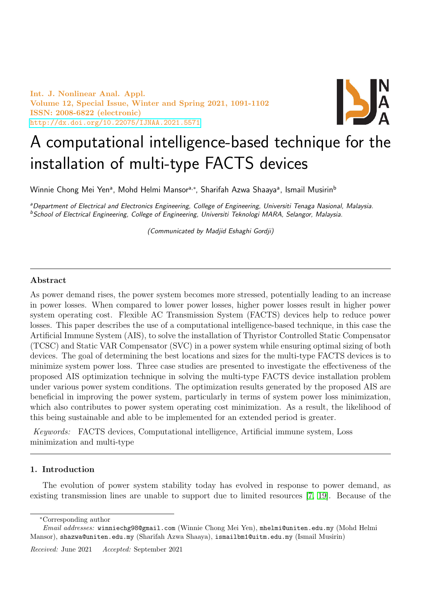Int. J. Nonlinear Anal. Appl. Volume 12, Special Issue, Winter and Spring 2021, 1091-1102 ISSN: 2008-6822 (electronic) <http://dx.doi.org/10.22075/IJNAA.2021.5571>



# A computational intelligence-based technique for the installation of multi-type FACTS devices

Winnie Chong Mei Yenª, Mohd Helmi Mansorª<sub>'</sub>\*, Sharifah Azwa Shaayaª, Ismail Musirin<sup>b</sup>

<sup>a</sup>Department of Electrical and Electronics Engineering, College of Engineering, Universiti Tenaga Nasional, Malaysia. <sup>b</sup>School of Electrical Engineering, College of Engineering, Universiti Teknologi MARA, Selangor, Malaysia.

(Communicated by Madjid Eshaghi Gordji)

#### Abstract

As power demand rises, the power system becomes more stressed, potentially leading to an increase in power losses. When compared to lower power losses, higher power losses result in higher power system operating cost. Flexible AC Transmission System (FACTS) devices help to reduce power losses. This paper describes the use of a computational intelligence-based technique, in this case the Artificial Immune System (AIS), to solve the installation of Thyristor Controlled Static Compensator (TCSC) and Static VAR Compensator (SVC) in a power system while ensuring optimal sizing of both devices. The goal of determining the best locations and sizes for the multi-type FACTS devices is to minimize system power loss. Three case studies are presented to investigate the effectiveness of the proposed AIS optimization technique in solving the multi-type FACTS device installation problem under various power system conditions. The optimization results generated by the proposed AIS are beneficial in improving the power system, particularly in terms of system power loss minimization, which also contributes to power system operating cost minimization. As a result, the likelihood of this being sustainable and able to be implemented for an extended period is greater.

Keywords: FACTS devices, Computational intelligence, Artificial immune system, Loss minimization and multi-type

## 1. Introduction

The evolution of power system stability today has evolved in response to power demand, as existing transmission lines are unable to support due to limited resources [\[7,](#page-10-0) [19\]](#page-11-0). Because of the

<sup>∗</sup>Corresponding author

Email addresses: winniechg98@gmail.com (Winnie Chong Mei Yen), mhelmi@uniten.edu.my (Mohd Helmi Mansor), shazwa@uniten.edu.my (Sharifah Azwa Shaaya), ismailbm1@uitm.edu.my (Ismail Musirin)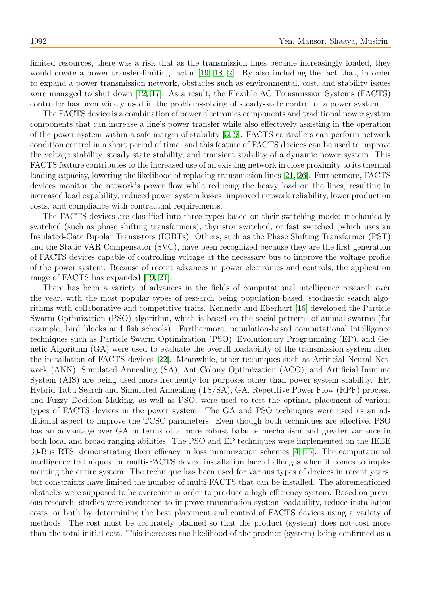limited resources, there was a risk that as the transmission lines became increasingly loaded, they would create a power transfer-limiting factor [\[19,](#page-11-0) [18,](#page-11-1) [2\]](#page-10-1). By also including the fact that, in order to expand a power transmission network, obstacles such as environmental, cost, and stability issues were managed to shut down [\[12,](#page-10-2) [17\]](#page-11-2). As a result, the Flexible AC Transmission Systems (FACTS) controller has been widely used in the problem-solving of steady-state control of a power system.

The FACTS device is a combination of power electronics components and traditional power system components that can increase a line's power transfer while also effectively assisting in the operation of the power system within a safe margin of stability [\[5,](#page-10-3) [9\]](#page-10-4). FACTS controllers can perform network condition control in a short period of time, and this feature of FACTS devices can be used to improve the voltage stability, steady state stability, and transient stability of a dynamic power system. This FACTS feature contributes to the increased use of an existing network in close proximity to its thermal loading capacity, lowering the likelihood of replacing transmission lines [\[21,](#page-11-3) [26\]](#page-11-4). Furthermore, FACTS devices monitor the network's power flow while reducing the heavy load on the lines, resulting in increased load capability, reduced power system losses, improved network reliability, lower production costs, and compliance with contractual requirements.

The FACTS devices are classified into three types based on their switching mode: mechanically switched (such as phase shifting transformers), thyristor switched, or fast switched (which uses an Insulated-Gate Bipolar Transistors (IGBTs). Others, such as the Phase Shifting Transformer (PST) and the Static VAR Compensator (SVC), have been recognized because they are the first generation of FACTS devices capable of controlling voltage at the necessary bus to improve the voltage profile of the power system. Because of recent advances in power electronics and controls, the application range of FACTS has expanded [\[19,](#page-11-0) [21\]](#page-11-3).

There has been a variety of advances in the fields of computational intelligence research over the year, with the most popular types of research being population-based, stochastic search algorithms with collaborative and competitive traits. Kennedy and Eberhart [\[16\]](#page-11-5) developed the Particle Swarm Optimization (PSO) algorithm, which is based on the social patterns of animal swarms (for example, bird blocks and fish schools). Furthermore, population-based computational intelligence techniques such as Particle Swarm Optimization (PSO), Evolutionary Programming (EP), and Genetic Algorithm (GA) were used to evaluate the overall loadability of the transmission system after the installation of FACTS devices [\[22\]](#page-11-6). Meanwhile, other techniques such as Artificial Neural Network (ANN), Simulated Annealing (SA), Ant Colony Optimization (ACO), and Artificial Immune System (AIS) are being used more frequently for purposes other than power system stability. EP, Hybrid Tabu Search and Simulated Annealing (TS/SA), GA, Repetitive Power Flow (RPF) process, and Fuzzy Decision Making, as well as PSO, were used to test the optimal placement of various types of FACTS devices in the power system. The GA and PSO techniques were used as an additional aspect to improve the TCSC parameters. Even though both techniques are effective, PSO has an advantage over GA in terms of a more robust balance mechanism and greater variance in both local and broad-ranging abilities. The PSO and EP techniques were implemented on the IEEE 30-Bus RTS, demonstrating their efficacy in loss minimization schemes [\[4,](#page-10-5) [15\]](#page-11-7). The computational intelligence techniques for multi-FACTS device installation face challenges when it comes to implementing the entire system. The technique has been used for various types of devices in recent years, but constraints have limited the number of multi-FACTS that can be installed. The aforementioned obstacles were supposed to be overcome in order to produce a high-efficiency system. Based on previous research, studies were conducted to improve transmission system loadability, reduce installation costs, or both by determining the best placement and control of FACTS devices using a variety of methods. The cost must be accurately planned so that the product (system) does not cost more than the total initial cost. This increases the likelihood of the product (system) being confirmed as a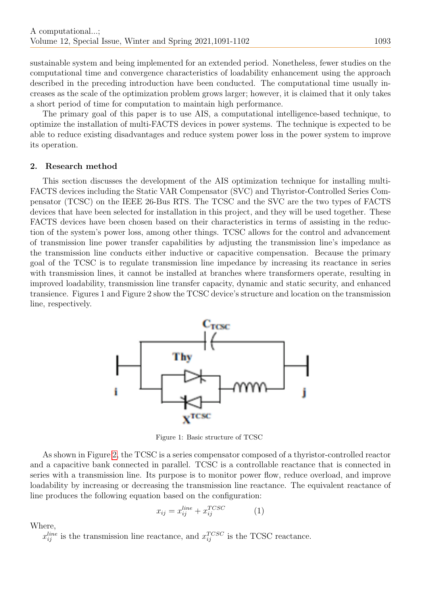sustainable system and being implemented for an extended period. Nonetheless, fewer studies on the computational time and convergence characteristics of loadability enhancement using the approach described in the preceding introduction have been conducted. The computational time usually increases as the scale of the optimization problem grows larger; however, it is claimed that it only takes a short period of time for computation to maintain high performance.

The primary goal of this paper is to use AIS, a computational intelligence-based technique, to optimize the installation of multi-FACTS devices in power systems. The technique is expected to be able to reduce existing disadvantages and reduce system power loss in the power system to improve its operation.

## 2. Research method

This section discusses the development of the AIS optimization technique for installing multi-FACTS devices including the Static VAR Compensator (SVC) and Thyristor-Controlled Series Compensator (TCSC) on the IEEE 26-Bus RTS. The TCSC and the SVC are the two types of FACTS devices that have been selected for installation in this project, and they will be used together. These FACTS devices have been chosen based on their characteristics in terms of assisting in the reduction of the system's power loss, among other things. TCSC allows for the control and advancement of transmission line power transfer capabilities by adjusting the transmission line's impedance as the transmission line conducts either inductive or capacitive compensation. Because the primary goal of the TCSC is to regulate transmission line impedance by increasing its reactance in series with transmission lines, it cannot be installed at branches where transformers operate, resulting in improved loadability, transmission line transfer capacity, dynamic and static security, and enhanced transience. Figures 1 and Figure 2 show the TCSC device's structure and location on the transmission line, respectively.



Figure 1: Basic structure of TCSC

As shown in Figure [2,](#page-3-0) the TCSC is a series compensator composed of a thyristor-controlled reactor and a capacitive bank connected in parallel. TCSC is a controllable reactance that is connected in series with a transmission line. Its purpose is to monitor power flow, reduce overload, and improve loadability by increasing or decreasing the transmission line reactance. The equivalent reactance of line produces the following equation based on the configuration:

$$
x_{ij} = x_{ij}^{line} + x_{ij}^{TCSC}
$$
 (1)

Where,

 $x_{ij}^{line}$  is the transmission line reactance, and  $x_{ij}^{TCSC}$  is the TCSC reactance.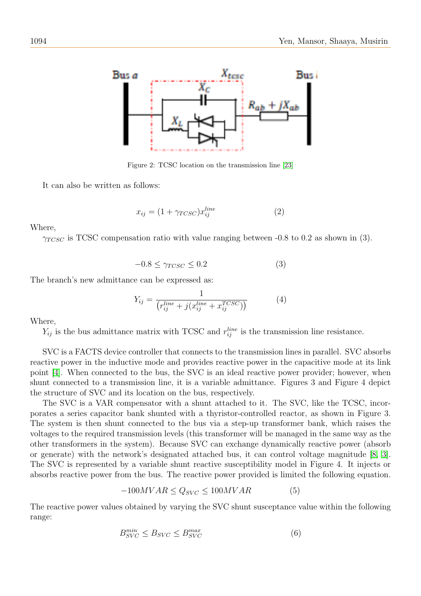

Figure 2: TCSC location on the transmission line [\[23\]](#page-11-8)

It can also be written as follows:

<span id="page-3-0"></span>
$$
x_{ij} = (1 + \gamma_{TCSC}) x_{ij}^{line} \tag{2}
$$

Where,

 $\gamma_{TCSC}$  is TCSC compensation ratio with value ranging between -0.8 to 0.2 as shown in (3).

$$
-0.8 \le \gamma_{TCSC} \le 0.2 \tag{3}
$$

The branch's new admittance can be expressed as:

$$
Y_{ij} = \frac{1}{\left(r_{ij}^{line} + j(x_{ij}^{line} + x_{ij}^{TCSC})\right)}
$$
(4)

Where,

 $Y_{ij}$  is the bus admittance matrix with TCSC and  $r_{ij}^{line}$  is the transmission line resistance.

SVC is a FACTS device controller that connects to the transmission lines in parallel. SVC absorbs reactive power in the inductive mode and provides reactive power in the capacitive mode at its link point [\[4\]](#page-10-5). When connected to the bus, the SVC is an ideal reactive power provider; however, when shunt connected to a transmission line, it is a variable admittance. Figures 3 and Figure 4 depict the structure of SVC and its location on the bus, respectively.

The SVC is a VAR compensator with a shunt attached to it. The SVC, like the TCSC, incorporates a series capacitor bank shunted with a thyristor-controlled reactor, as shown in Figure 3. The system is then shunt connected to the bus via a step-up transformer bank, which raises the voltages to the required transmission levels (this transformer will be managed in the same way as the other transformers in the system). Because SVC can exchange dynamically reactive power (absorb or generate) with the network's designated attached bus, it can control voltage magnitude [\[8,](#page-10-6) [3\]](#page-10-7). The SVC is represented by a variable shunt reactive susceptibility model in Figure 4. It injects or absorbs reactive power from the bus. The reactive power provided is limited the following equation.

$$
-100MVAR \le Q_{SVC} \le 100MVAR \tag{5}
$$

The reactive power values obtained by varying the SVC shunt susceptance value within the following range:

$$
B_{SVC}^{min} \le B_{SVC} \le B_{SVC}^{max} \tag{6}
$$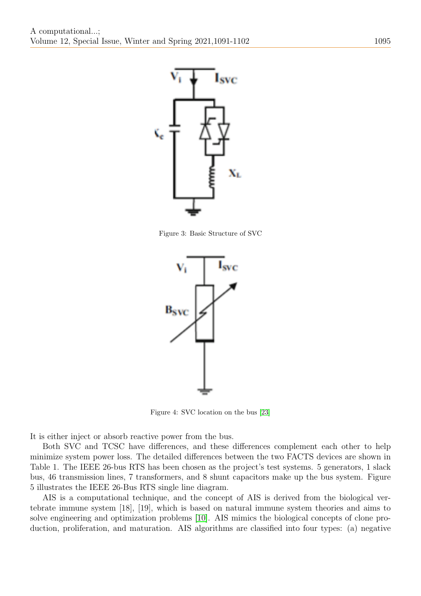

Figure 3: Basic Structure of SVC



Figure 4: SVC location on the bus [\[23\]](#page-11-8)

It is either inject or absorb reactive power from the bus.

Both SVC and TCSC have differences, and these differences complement each other to help minimize system power loss. The detailed differences between the two FACTS devices are shown in Table 1. The IEEE 26-bus RTS has been chosen as the project's test systems. 5 generators, 1 slack bus, 46 transmission lines, 7 transformers, and 8 shunt capacitors make up the bus system. Figure 5 illustrates the IEEE 26-Bus RTS single line diagram.

AIS is a computational technique, and the concept of AIS is derived from the biological vertebrate immune system [18], [19], which is based on natural immune system theories and aims to solve engineering and optimization problems [\[10\]](#page-10-8). AIS mimics the biological concepts of clone production, proliferation, and maturation. AIS algorithms are classified into four types: (a) negative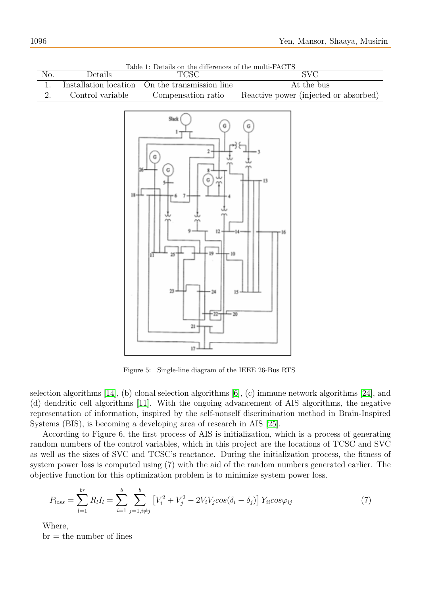| Table 1: Details on the differences of the multi-FACTS<br>TCSC |                       |                                                                                             |                                       |  |  |  |
|----------------------------------------------------------------|-----------------------|---------------------------------------------------------------------------------------------|---------------------------------------|--|--|--|
| No.                                                            | Details               |                                                                                             | $\overline{\text{SVC}}$               |  |  |  |
| 1.                                                             | Installation location | On the transmission line                                                                    | At the bus                            |  |  |  |
| 2.                                                             | Control variable      | Compensation ratio                                                                          | Reactive power (injected or absorbed) |  |  |  |
|                                                                |                       | Slack<br>→},<br>18<br>12<br>25<br>n<br>$23 -$<br>$^{24}$<br>15<br>$-20$<br>$21 -$<br>$17 -$ | - 13                                  |  |  |  |

Table 1: Details on the differences of the multi-FACTS

Figure 5: Single-line diagram of the IEEE 26-Bus RTS

selection algorithms [\[14\]](#page-11-9), (b) clonal selection algorithms [\[6\]](#page-10-9), (c) immune network algorithms [\[24\]](#page-11-10), and (d) dendritic cell algorithms [\[11\]](#page-10-10). With the ongoing advancement of AIS algorithms, the negative representation of information, inspired by the self-nonself discrimination method in Brain-Inspired Systems (BIS), is becoming a developing area of research in AIS [\[25\]](#page-11-11).

According to Figure 6, the first process of AIS is initialization, which is a process of generating random numbers of the control variables, which in this project are the locations of TCSC and SVC as well as the sizes of SVC and TCSC's reactance. During the initialization process, the fitness of system power loss is computed using (7) with the aid of the random numbers generated earlier. The objective function for this optimization problem is to minimize system power loss.

$$
P_{loss} = \sum_{l=1}^{br} R_l I_l = \sum_{i=1}^{b} \sum_{j=1, i \neq j}^{b} \left[ V_i^2 + V_j^2 - 2V_i V_j \cos(\delta_i - \delta_j) \right] Y_{ii} \cos\varphi_{ij}
$$
(7)

Where,

 $b$ r = the number of lines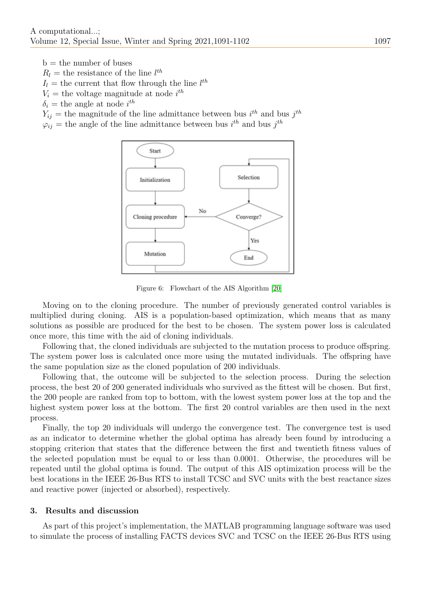$b =$  the number of buses

- $R_l$  = the resistance of the line  $l^{th}$
- $I_l$  = the current that flow through the line  $l^{th}$
- $V_i$  = the voltage magnitude at node  $i^{th}$
- $\delta_i$  = the angle at node  $i^{th}$

 $Y_{ij}$  = the magnitude of the line admittance between bus  $i^{th}$  and bus  $j^{th}$ 

 $\varphi_{ij}$  = the angle of the line admittance between bus  $i^{th}$  and bus  $j^{th}$ 



Figure 6: Flowchart of the AIS Algorithm [\[20\]](#page-11-12)

Moving on to the cloning procedure. The number of previously generated control variables is multiplied during cloning. AIS is a population-based optimization, which means that as many solutions as possible are produced for the best to be chosen. The system power loss is calculated once more, this time with the aid of cloning individuals.

Following that, the cloned individuals are subjected to the mutation process to produce offspring. The system power loss is calculated once more using the mutated individuals. The offspring have the same population size as the cloned population of 200 individuals.

Following that, the outcome will be subjected to the selection process. During the selection process, the best 20 of 200 generated individuals who survived as the fittest will be chosen. But first, the 200 people are ranked from top to bottom, with the lowest system power loss at the top and the highest system power loss at the bottom. The first 20 control variables are then used in the next process.

Finally, the top 20 individuals will undergo the convergence test. The convergence test is used as an indicator to determine whether the global optima has already been found by introducing a stopping criterion that states that the difference between the first and twentieth fitness values of the selected population must be equal to or less than 0.0001. Otherwise, the procedures will be repeated until the global optima is found. The output of this AIS optimization process will be the best locations in the IEEE 26-Bus RTS to install TCSC and SVC units with the best reactance sizes and reactive power (injected or absorbed), respectively.

#### 3. Results and discussion

As part of this project's implementation, the MATLAB programming language software was used to simulate the process of installing FACTS devices SVC and TCSC on the IEEE 26-Bus RTS using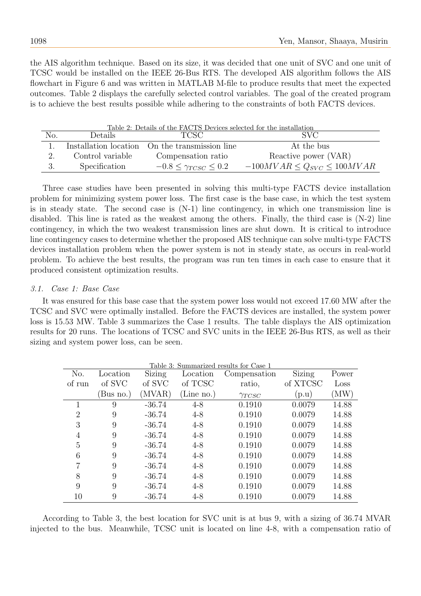the AIS algorithm technique. Based on its size, it was decided that one unit of SVC and one unit of TCSC would be installed on the IEEE 26-Bus RTS. The developed AIS algorithm follows the AIS flowchart in Figure 6 and was written in MATLAB M-file to produce results that meet the expected outcomes. Table 2 displays the carefully selected control variables. The goal of the created program is to achieve the best results possible while adhering to the constraints of both FACTS devices.

| Table 2: Details of the FACTS Devices selected for the installation |                  |                                                |                                    |  |  |  |
|---------------------------------------------------------------------|------------------|------------------------------------------------|------------------------------------|--|--|--|
| No.                                                                 | Details.         | <b>TCSC</b>                                    | SVC.                               |  |  |  |
|                                                                     |                  | Installation location On the transmission line | At the bus                         |  |  |  |
|                                                                     | Control variable | Compensation ratio                             | Reactive power (VAR)               |  |  |  |
|                                                                     | Specification    | $-0.8 \leq \gamma_{TCSC} \leq 0.2$             | $-100MVAR \le Q_{SVC} \le 100MVAR$ |  |  |  |

Three case studies have been presented in solving this multi-type FACTS device installation problem for minimizing system power loss. The first case is the base case, in which the test system is in steady state. The second case is (N-1) line contingency, in which one transmission line is disabled. This line is rated as the weakest among the others. Finally, the third case is (N-2) line contingency, in which the two weakest transmission lines are shut down. It is critical to introduce line contingency cases to determine whether the proposed AIS technique can solve multi-type FACTS devices installation problem when the power system is not in steady state, as occurs in real-world problem. To achieve the best results, the program was run ten times in each case to ensure that it produced consistent optimization results.

## 3.1. Case 1: Base Case

It was ensured for this base case that the system power loss would not exceed 17.60 MW after the TCSC and SVC were optimally installed. Before the FACTS devices are installed, the system power loss is 15.53 MW. Table 3 summarizes the Case 1 results. The table displays the AIS optimization results for 20 runs. The locations of TCSC and SVC units in the IEEE 26-Bus RTS, as well as their sizing and system power loss, can be seen.

| Table 3: Summarized results for Case 1 |           |               |            |                 |          |            |
|----------------------------------------|-----------|---------------|------------|-----------------|----------|------------|
| No.                                    | Location  | <b>Sizing</b> | Location   | Compensation    | Sizing   | Power      |
| of run                                 | of SVC    | of SVC        | of TCSC    | ratio,          | of XTCSC | Loss       |
|                                        | (Bus no.) | (MVAR)        | (Line no.) | $\gamma_{TCSC}$ | (p.u)    | $\rm (MW)$ |
| 1                                      | 9         | $-36.74$      | $4 - 8$    | 0.1910          | 0.0079   | 14.88      |
| $\overline{2}$                         | 9         | $-36.74$      | $4 - 8$    | 0.1910          | 0.0079   | 14.88      |
| 3                                      | 9         | $-36.74$      | $4 - 8$    | 0.1910          | 0.0079   | 14.88      |
| 4                                      | 9         | $-36.74$      | 4-8        | 0.1910          | 0.0079   | 14.88      |
| $\overline{5}$                         | 9         | $-36.74$      | $4 - 8$    | 0.1910          | 0.0079   | 14.88      |
| 6                                      | 9         | $-36.74$      | $4 - 8$    | 0.1910          | 0.0079   | 14.88      |
| 7                                      | 9         | $-36.74$      | $4 - 8$    | 0.1910          | 0.0079   | 14.88      |
| 8                                      | 9         | $-36.74$      | $4 - 8$    | 0.1910          | 0.0079   | 14.88      |
| 9                                      | 9         | $-36.74$      | $4 - 8$    | 0.1910          | 0.0079   | 14.88      |
| 10                                     | 9         | $-36.74$      | 4-8        | 0.1910          | 0.0079   | 14.88      |

According to Table 3, the best location for SVC unit is at bus 9, with a sizing of 36.74 MVAR injected to the bus. Meanwhile, TCSC unit is located on line 4-8, with a compensation ratio of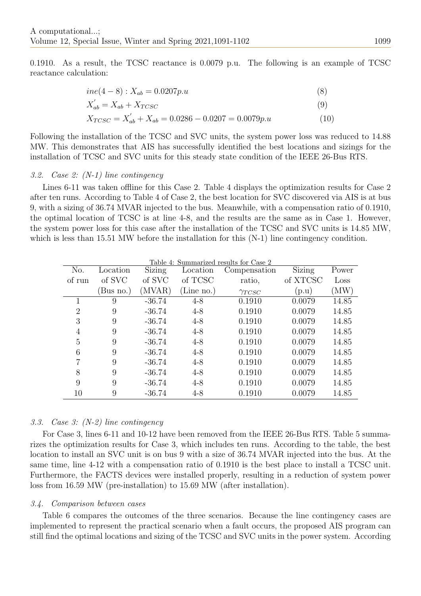0.1910. As a result, the TCSC reactance is 0.0079 p.u. The following is an example of TCSC reactance calculation:

$$
ine(4-8): X_{ab} = 0.0207p.u
$$
\n
$$
X'_{ab} = X_{ab} + X_{TCSC}
$$
\n
$$
(8)
$$
\n
$$
X'_{TCSC} = X'_{ab} + X_{ab} = 0.0286 - 0.0207 = 0.0079p.u
$$
\n
$$
(10)
$$

Following the installation of the TCSC and SVC units, the system power loss was reduced to 14.88 MW. This demonstrates that AIS has successfully identified the best locations and sizings for the installation of TCSC and SVC units for this steady state condition of the IEEE 26-Bus RTS.

## 3.2. Case 2: (N-1) line contingency

Lines 6-11 was taken offline for this Case 2. Table 4 displays the optimization results for Case 2 after ten runs. According to Table 4 of Case 2, the best location for SVC discovered via AIS is at bus 9, with a sizing of 36.74 MVAR injected to the bus. Meanwhile, with a compensation ratio of 0.1910, the optimal location of TCSC is at line 4-8, and the results are the same as in Case 1. However, the system power loss for this case after the installation of the TCSC and SVC units is 14.85 MW, which is less than 15.51 MW before the installation for this  $(N-1)$  line contingency condition.

| Table 4: Summarized results for Case 2 |           |          |            |                 |               |       |
|----------------------------------------|-----------|----------|------------|-----------------|---------------|-------|
| No.                                    | Location  | Sizing   | Location   | Compensation    | <b>Sizing</b> | Power |
| of run                                 | of SVC    | of SVC   | of TCSC    | ratio,          | of XTCSC      | Loss  |
|                                        | (Bus no.) | (MVAR)   | (Line no.) | $\gamma_{TCSC}$ | (p.u)         | (MW)  |
|                                        | 9         | $-36.74$ | $4 - 8$    | 0.1910          | 0.0079        | 14.85 |
| $\overline{2}$                         | 9         | $-36.74$ | $4 - 8$    | 0.1910          | 0.0079        | 14.85 |
| 3                                      | 9         | $-36.74$ | $4 - 8$    | 0.1910          | 0.0079        | 14.85 |
| 4                                      | 9         | $-36.74$ | $4 - 8$    | 0.1910          | 0.0079        | 14.85 |
| 5                                      | 9         | $-36.74$ | $4 - 8$    | 0.1910          | 0.0079        | 14.85 |
| 6                                      | 9         | $-36.74$ | $4 - 8$    | 0.1910          | 0.0079        | 14.85 |
| 7                                      | 9         | $-36.74$ | $4 - 8$    | 0.1910          | 0.0079        | 14.85 |
| 8                                      | 9         | $-36.74$ | $4 - 8$    | 0.1910          | 0.0079        | 14.85 |
| 9                                      | 9         | $-36.74$ | $4 - 8$    | 0.1910          | 0.0079        | 14.85 |
| 10                                     | 9         | $-36.74$ | $4 - 8$    | 0.1910          | 0.0079        | 14.85 |

# 3.3. Case 3: (N-2) line contingency

For Case 3, lines 6-11 and 10-12 have been removed from the IEEE 26-Bus RTS. Table 5 summarizes the optimization results for Case 3, which includes ten runs. According to the table, the best location to install an SVC unit is on bus 9 with a size of 36.74 MVAR injected into the bus. At the same time, line 4-12 with a compensation ratio of 0.1910 is the best place to install a TCSC unit. Furthermore, the FACTS devices were installed properly, resulting in a reduction of system power loss from 16.59 MW (pre-installation) to 15.69 MW (after installation).

# 3.4. Comparison between cases

Table 6 compares the outcomes of the three scenarios. Because the line contingency cases are implemented to represent the practical scenario when a fault occurs, the proposed AIS program can still find the optimal locations and sizing of the TCSC and SVC units in the power system. According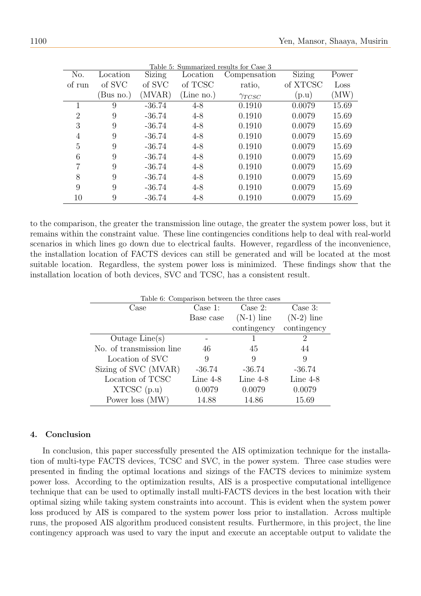| Table 5: Summarized results for Case 3 |          |               |            |                 |               |            |
|----------------------------------------|----------|---------------|------------|-----------------|---------------|------------|
| No.                                    | Location | <b>Sizing</b> | Location   | Compensation    | <b>Sizing</b> | Power      |
| of run                                 | of SVC   | of SVC        | of TCSC    | ratio,          | of XTCSC      | Loss       |
|                                        | Bus no.) | (MVAR)        | (Line no.) | $\gamma_{TCSC}$ | (p.u)         | $\rm (MW)$ |
|                                        | 9        | $-36.74$      | $4 - 8$    | 0.1910          | 0.0079        | 15.69      |
| $\overline{2}$                         | 9        | $-36.74$      | $4 - 8$    | 0.1910          | 0.0079        | 15.69      |
| 3                                      | 9        | $-36.74$      | $4 - 8$    | 0.1910          | 0.0079        | 15.69      |
| 4                                      | 9        | $-36.74$      | $4 - 8$    | 0.1910          | 0.0079        | 15.69      |
| 5                                      | 9        | $-36.74$      | $4 - 8$    | 0.1910          | 0.0079        | 15.69      |
| 6                                      | 9        | $-36.74$      | $4 - 8$    | 0.1910          | 0.0079        | 15.69      |
|                                        | 9        | $-36.74$      | $4 - 8$    | 0.1910          | 0.0079        | 15.69      |
| 8                                      | 9        | $-36.74$      | $4 - 8$    | 0.1910          | 0.0079        | 15.69      |
| 9                                      | 9        | $-36.74$      | $4 - 8$    | 0.1910          | 0.0079        | 15.69      |
| 10                                     | 9        | $-36.74$      | $4 - 8$    | 0.1910          | 0.0079        | 15.69      |

to the comparison, the greater the transmission line outage, the greater the system power loss, but it remains within the constraint value. These line contingencies conditions help to deal with real-world scenarios in which lines go down due to electrical faults. However, regardless of the inconvenience, the installation location of FACTS devices can still be generated and will be located at the most suitable location. Regardless, the system power loss is minimized. These findings show that the installation location of both devices, SVC and TCSC, has a consistent result.

| Table 6: Comparison between the three cases |            |              |                             |  |  |
|---------------------------------------------|------------|--------------|-----------------------------|--|--|
| Case                                        | Case 1:    | Case 2:      | Case $3$ :                  |  |  |
|                                             | Base case  | $(N-1)$ line | $(N-2)$ line                |  |  |
|                                             |            | contingency  | contingency                 |  |  |
| Outage $Line(s)$                            |            |              | $\mathcal{D}_{\mathcal{L}}$ |  |  |
| No. of transmission line                    | 46         | 45           | 44                          |  |  |
| Location of SVC                             | 9          | 9            | 9                           |  |  |
| Sizing of SVC (MVAR)                        | $-36.74$   | $-36.74$     | $-36.74$                    |  |  |
| Location of TCSC                            | Line $4-8$ | Line $4-8$   | Line $4-8$                  |  |  |
| XTCSC(p.u)                                  | 0.0079     | 0.0079       | 0.0079                      |  |  |
| Power loss (MW)                             | 14.88      | 14.86        | 15.69                       |  |  |

## 4. Conclusion

In conclusion, this paper successfully presented the AIS optimization technique for the installation of multi-type FACTS devices, TCSC and SVC, in the power system. Three case studies were presented in finding the optimal locations and sizings of the FACTS devices to minimize system power loss. According to the optimization results, AIS is a prospective computational intelligence technique that can be used to optimally install multi-FACTS devices in the best location with their optimal sizing while taking system constraints into account. This is evident when the system power loss produced by AIS is compared to the system power loss prior to installation. Across multiple runs, the proposed AIS algorithm produced consistent results. Furthermore, in this project, the line contingency approach was used to vary the input and execute an acceptable output to validate the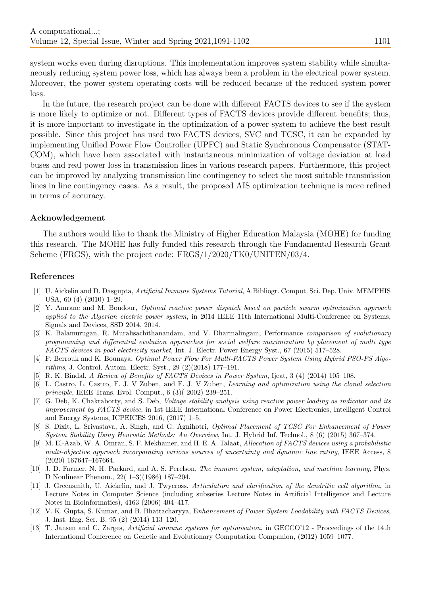system works even during disruptions. This implementation improves system stability while simultaneously reducing system power loss, which has always been a problem in the electrical power system. Moreover, the power system operating costs will be reduced because of the reduced system power loss.

In the future, the research project can be done with different FACTS devices to see if the system is more likely to optimize or not. Different types of FACTS devices provide different benefits; thus, it is more important to investigate in the optimization of a power system to achieve the best result possible. Since this project has used two FACTS devices, SVC and TCSC, it can be expanded by implementing Unified Power Flow Controller (UPFC) and Static Synchronous Compensator (STAT-COM), which have been associated with instantaneous minimization of voltage deviation at load buses and real power loss in transmission lines in various research papers. Furthermore, this project can be improved by analyzing transmission line contingency to select the most suitable transmission lines in line contingency cases. As a result, the proposed AIS optimization technique is more refined in terms of accuracy.

#### Acknowledgement

The authors would like to thank the Ministry of Higher Education Malaysia (MOHE) for funding this research. The MOHE has fully funded this research through the Fundamental Research Grant Scheme (FRGS), with the project code: FRGS/1/2020/TK0/UNITEN/03/4.

#### References

- [1] U. Aickelin and D. Dasgupta, Artificial Immune Systems Tutorial, A Bibliogr. Comput. Sci. Dep. Univ. MEMPHIS USA, 60 (4) (2010) 1–29.
- <span id="page-10-1"></span>[2] Y. Amrane and M. Boudour, Optimal reactive power dispatch based on particle swarm optimization approach applied to the Algerian electric power system, in 2014 IEEE 11th International Multi-Conference on Systems, Signals and Devices, SSD 2014, 2014.
- <span id="page-10-7"></span>[3] K. Balamurugan, R. Muralisachithanandam, and V. Dharmalingam, Performance comparison of evolutionary programming and differential evolution approaches for social welfare maximization by placement of multi type FACTS devices in pool electricity market, Int. J. Electr. Power Energy Syst., 67 (2015) 517–528.
- <span id="page-10-5"></span>[4] F. Berrouk and K. Bounaya, Optimal Power Flow For Multi-FACTS Power System Using Hybrid PSO-PS Algorithms, J. Control. Autom. Electr. Syst., 29 (2)(2018) 177–191.
- <span id="page-10-3"></span>[5] R. K. Bindal, A Review of Benefits of FACTS Devices in Power System, Ijeat, 3 (4) (2014) 105–108.
- <span id="page-10-9"></span>[6] L. Castro, L. Castro, F. J. V Zuben, and F. J. V Zuben, Learning and optimization using the clonal selection principle, IEEE Trans. Evol. Comput., 6 (3)( 2002) 239–251.
- <span id="page-10-0"></span>[7] G. Deb, K. Chakraborty, and S. Deb, Voltage stability analysis using reactive power loading as indicator and its improvement by FACTS device, in 1st IEEE International Conference on Power Electronics, Intelligent Control and Energy Systems, ICPEICES 2016, (2017) 1–5.
- <span id="page-10-6"></span>[8] S. Dixit, L. Srivastava, A. Singh, and G. Agnihotri, Optimal Placement of TCSC For Enhancement of Power System Stability Using Heuristic Methods: An Overview, Int. J. Hybrid Inf. Technol., 8 (6) (2015) 367–374.
- <span id="page-10-4"></span>[9] M. El-Azab, W. A. Omran, S. F. Mekhamer, and H. E. A. Talaat, Allocation of FACTS devices using a probabilistic multi-objective approach incorporating various sources of uncertainty and dynamic line rating, IEEE Access, 8 (2020) 167647–167664.
- <span id="page-10-8"></span>[10] J. D. Farmer, N. H. Packard, and A. S. Perelson, The immune system, adaptation, and machine learning, Phys. D Nonlinear Phenom., 22( 1–3)(1986) 187–204.
- <span id="page-10-10"></span>[11] J. Greensmith, U. Aickelin, and J. Twycross, Articulation and clarification of the dendritic cell algorithm, in Lecture Notes in Computer Science (including subseries Lecture Notes in Artificial Intelligence and Lecture Notes in Bioinformatics), 4163 (2006) 404–417.
- <span id="page-10-2"></span>[12] V. K. Gupta, S. Kumar, and B. Bhattacharyya, Enhancement of Power System Loadability with FACTS Devices, J. Inst. Eng. Ser. B, 95 (2) (2014) 113–120.
- [13] T. Jansen and C. Zarges, Artificial immune systems for optimisation, in GECCO'12 Proceedings of the 14th International Conference on Genetic and Evolutionary Computation Companion, (2012) 1059–1077.